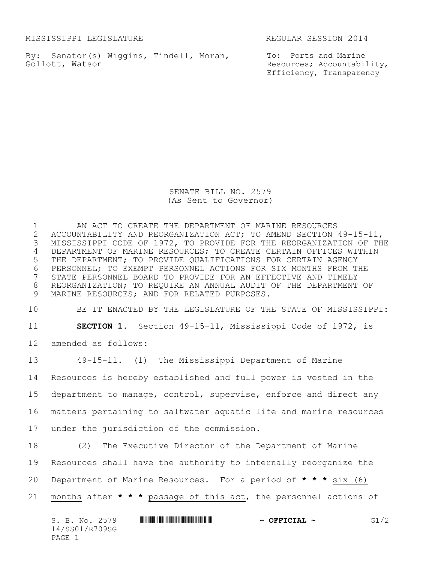MISSISSIPPI LEGISLATURE REGULAR SESSION 2014

By: Senator(s) Wiggins, Tindell, Moran, Gollott, Watson

To: Ports and Marine Resources; Accountability, Efficiency, Transparency

SENATE BILL NO. 2579 (As Sent to Governor)

1 AN ACT TO CREATE THE DEPARTMENT OF MARINE RESOURCES<br>2 ACCOUNTABILITY AND REORGANIZATION ACT; TO AMEND SECTION 2 ACCOUNTABILITY AND REORGANIZATION ACT; TO AMEND SECTION 49-15-11,<br>3 MISSISSIPPI CODE OF 1972, TO PROVIDE FOR THE REORGANIZATION OF TH 3 MISSISSIPPI CODE OF 1972, TO PROVIDE FOR THE REORGANIZATION OF THE 4 DEPARTMENT OF MARINE RESOURCES; TO CREATE CERTAIN OFFICES WITHIN 5 THE DEPARTMENT; TO PROVIDE QUALIFICATIONS FOR CERTAIN AGENCY 6 PERSONNEL; TO EXEMPT PERSONNEL ACTIONS FOR SIX MONTHS FROM THE 7 STATE PERSONNEL BOARD TO PROVIDE FOR AN EFFECTIVE AND TIMELY STATE PERSONNEL BOARD TO PROVIDE FOR AN EFFECTIVE AND TIMELY 8 REORGANIZATION; TO REQUIRE AN ANNUAL AUDIT OF THE DEPARTMENT OF 9 MARINE RESOURCES; AND FOR RELATED PURPOSES.

10 BE IT ENACTED BY THE LEGISLATURE OF THE STATE OF MISSISSIPPI:

11 **SECTION 1.** Section 49-15-11, Mississippi Code of 1972, is

12 amended as follows:

 49-15-11. (1) The Mississippi Department of Marine Resources is hereby established and full power is vested in the department to manage, control, supervise, enforce and direct any matters pertaining to saltwater aquatic life and marine resources under the jurisdiction of the commission.

18 (2) The Executive Director of the Department of Marine

19 Resources shall have the authority to internally reorganize the

20 Department of Marine Resources. For a period of **\* \* \*** six (6)

21 months after **\* \* \*** passage of this act, the personnel actions of

| S. B. No. 2579 | $\sim$ OFFICIAL $\sim$ | G1/2 |
|----------------|------------------------|------|
| 14/SS01/R709SG |                        |      |
| PAGE           |                        |      |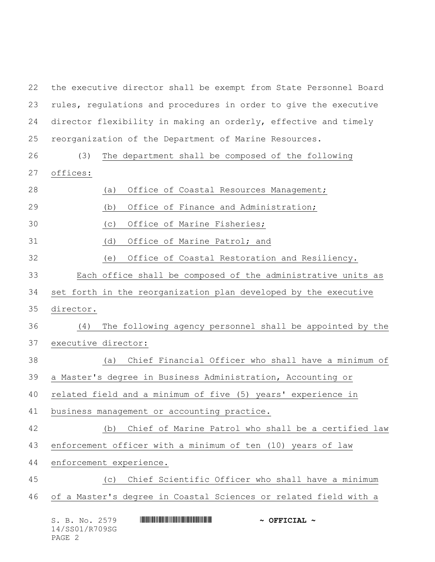S. B. No. 2579 **\*\*\* AND \*\*\* AND \*\*\* \*\*\* OFFICIAL \*\***  the executive director shall be exempt from State Personnel Board rules, regulations and procedures in order to give the executive director flexibility in making an orderly, effective and timely reorganization of the Department of Marine Resources. (3) The department shall be composed of the following offices: (a) Office of Coastal Resources Management; (b) Office of Finance and Administration; (c) Office of Marine Fisheries; (d) Office of Marine Patrol; and (e) Office of Coastal Restoration and Resiliency. Each office shall be composed of the administrative units as set forth in the reorganization plan developed by the executive director. (4) The following agency personnel shall be appointed by the executive director: (a) Chief Financial Officer who shall have a minimum of a Master's degree in Business Administration, Accounting or related field and a minimum of five (5) years' experience in business management or accounting practice. (b) Chief of Marine Patrol who shall be a certified law enforcement officer with a minimum of ten (10) years of law enforcement experience. (c) Chief Scientific Officer who shall have a minimum of a Master's degree in Coastal Sciences or related field with a

14/SS01/R709SG

PAGE 2